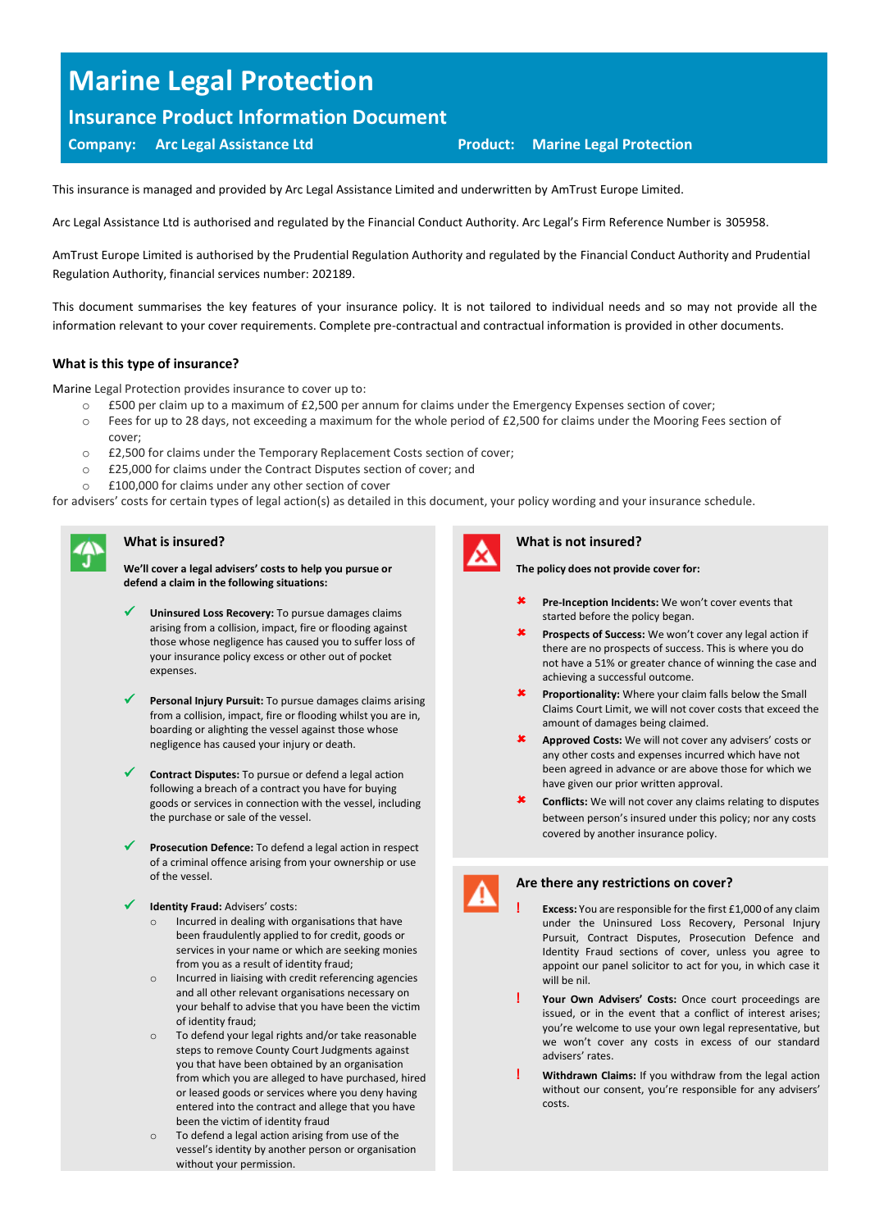# **Marine Legal Protection**

# **Insurance Product Information Document**

# **Company: Arc Legal Assistance Ltd Product: Marine Legal Protection**

This insurance is managed and provided by Arc Legal Assistance Limited and underwritten by AmTrust Europe Limited.

Arc Legal Assistance Ltd is authorised and regulated by the Financial Conduct Authority. Arc Legal's Firm Reference Number is 305958.

AmTrust Europe Limited is authorised by the Prudential Regulation Authority and regulated by the Financial Conduct Authority and Prudential Regulation Authority, financial services number: 202189.

This document summarises the key features of your insurance policy. It is not tailored to individual needs and so may not provide all the information relevant to your cover requirements. Complete pre-contractual and contractual information is provided in other documents.

## **What is this type of insurance?**

Marine Legal Protection provides insurance to cover up to:

- o £500 per claim up to a maximum of £2,500 per annum for claims under the Emergency Expenses section of cover;
- o Fees for up to 28 days, not exceeding a maximum for the whole period of £2,500 for claims under the Mooring Fees section of cover;
- o £2,500 for claims under the Temporary Replacement Costs section of cover;
- o £25,000 for claims under the Contract Disputes section of cover; and
- o £100,000 for claims under any other section of cover

for advisers' costs for certain types of legal action(s) as detailed in this document, your policy wording and your insurance schedule.

# **What is insured?**

**We'll cover a legal advisers' costs to help you pursue or defend a claim in the following situations:**

- Uninsured Loss Recovery: To pursue damages claims arising from a collision, impact, fire or flooding against those whose negligence has caused you to suffer loss of your insurance policy excess or other out of pocket expenses.
- ✓ **Personal Injury Pursuit:** To pursue damages claims arising from a collision, impact, fire or flooding whilst you are in, boarding or alighting the vessel against those whose negligence has caused your injury or death.
- Contract Disputes: To pursue or defend a legal action following a breach of a contract you have for buying goods or services in connection with the vessel, including the purchase or sale of the vessel.
- Prosecution Defence: To defend a legal action in respect of a criminal offence arising from your ownership or use of the vessel.
- **Identity Fraud: Advisers' costs:** 
	- Incurred in dealing with organisations that have been fraudulently applied to for credit, goods or services in your name or which are seeking monies from you as a result of identity fraud;
	- o Incurred in liaising with credit referencing agencies and all other relevant organisations necessary on your behalf to advise that you have been the victim of identity fraud;
	- o To defend your legal rights and/or take reasonable steps to remove County Court Judgments against you that have been obtained by an organisation from which you are alleged to have purchased, hired or leased goods or services where you deny having entered into the contract and allege that you have been the victim of identity fraud
	- To defend a legal action arising from use of the vessel's identity by another person or organisation without your permission.



#### **What is not insured?**

**The policy does not provide cover for:**

- **K** Pre-Inception Incidents: We won't cover events that started before the policy began.
- **Prospects of Success:** We won't cover any legal action if there are no prospects of success. This is where you do not have a 51% or greater chance of winning the case and achieving a successful outcome.
- **K** Proportionality: Where your claim falls below the Small Claims Court Limit, we will not cover costs that exceed the amount of damages being claimed.
- **Approved Costs:** We will not cover any advisers' costs or any other costs and expenses incurred which have not been agreed in advance or are above those for which we have given our prior written approval.
- **Conflicts:** We will not cover any claims relating to disputes between person's insured under this policy; nor any costs covered by another insurance policy.



### **Are there any restrictions on cover?**

- **! Excess:** You are responsible for the first £1,000 of any claim under the Uninsured Loss Recovery, Personal Injury Pursuit, Contract Disputes, Prosecution Defence and Identity Fraud sections of cover, unless you agree to appoint our panel solicitor to act for you, in which case it will be nil.
- **! Your Own Advisers' Costs:** Once court proceedings are issued, or in the event that a conflict of interest arises; you're welcome to use your own legal representative, but we won't cover any costs in excess of our standard advisers' rates.
- **! Withdrawn Claims:** If you withdraw from the legal action without our consent, you're responsible for any advisers' costs.